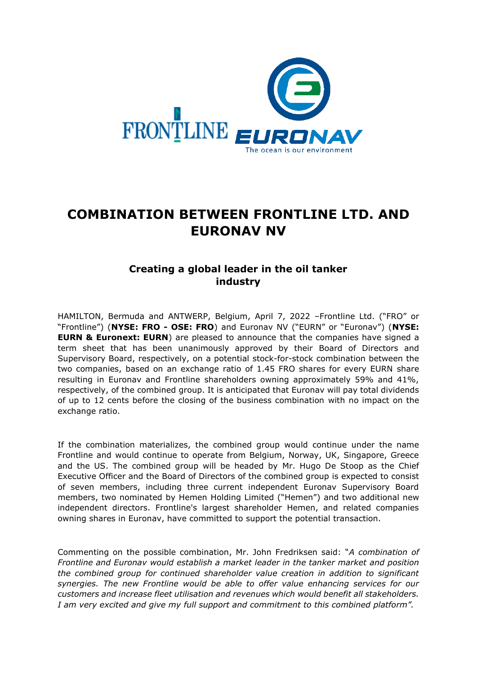

# **COMBINATION BETWEEN FRONTLINE LTD. AND EURONAV NV**

# **Creating a global leader in the oil tanker industry**

HAMILTON, Bermuda and ANTWERP, Belgium, April 7, 2022 –Frontline Ltd. ("FRO" or "Frontline") (**NYSE: FRO - OSE: FRO**) and Euronav NV ("EURN" or "Euronav") (**NYSE: EURN & Euronext: EURN**) are pleased to announce that the companies have signed a term sheet that has been unanimously approved by their Board of Directors and Supervisory Board, respectively, on a potential stock-for-stock combination between the two companies, based on an exchange ratio of 1.45 FRO shares for every EURN share resulting in Euronav and Frontline shareholders owning approximately 59% and 41%, respectively, of the combined group. It is anticipated that Euronav will pay total dividends of up to 12 cents before the closing of the business combination with no impact on the exchange ratio.

If the combination materializes, the combined group would continue under the name Frontline and would continue to operate from Belgium, Norway, UK, Singapore, Greece and the US. The combined group will be headed by Mr. Hugo De Stoop as the Chief Executive Officer and the Board of Directors of the combined group is expected to consist of seven members, including three current independent Euronav Supervisory Board members, two nominated by Hemen Holding Limited ("Hemen") and two additional new independent directors. Frontline's largest shareholder Hemen, and related companies owning shares in Euronav, have committed to support the potential transaction.

Commenting on the possible combination, Mr. John Fredriksen said: "*A combination of Frontline and Euronav would establish a market leader in the tanker market and position the combined group for continued shareholder value creation in addition to significant synergies. The new Frontline would be able to offer value enhancing services for our customers and increase fleet utilisation and revenues which would benefit all stakeholders. I am very excited and give my full support and commitment to this combined platform".*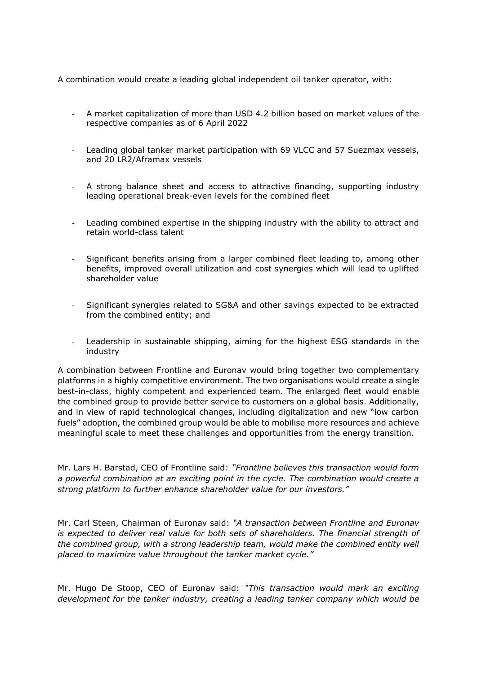A combination would create a leading global independent oil tanker operator, with:

- A market capitalization of more than USD 4.2 billion based on market values of the respective companies as of 6 April 2022
- Leading global tanker market participation with 69 VLCC and 57 Suezmax vessels, and 20 LR2/Aframax vessels
- A strong balance sheet and access to attractive financing, supporting industry leading operational break-even levels for the combined fleet
- Leading combined expertise in the shipping industry with the ability to attract and retain world-class talent
- Significant benefits arising from a larger combined fleet leading to, among other benefits, improved overall utilization and cost synergies which will lead to uplifted shareholder value
- Significant synergies related to SG&A and other savings expected to be extracted from the combined entity; and
- Leadership in sustainable shipping, aiming for the highest ESG standards in the industry

A combination between Frontline and Euronav would bring together two complementary platforms in a highly competitive environment. The two organisations would create a single best-in-class, highly competent and experienced team. The enlarged fleet would enable the combined group to provide better service to customers on a global basis. Additionally, and in view of rapid technological changes, including digitalization and new "low carbon fuels" adoption, the combined group would be able to mobilise more resources and achieve meaningful scale to meet these challenges and opportunities from the energy transition.

Mr. Lars H. Barstad, CEO of Frontline said: *"Frontline believes this transaction would form a powerful combination at an exciting point in the cycle. The combination would create a strong platform to further enhance shareholder value for our investors."*

Mr. Carl Steen, Chairman of Euronav said: *"A transaction between Frontline and Euronav is expected to deliver real value for both sets of shareholders. The financial strength of the combined group, with a strong leadership team, would make the combined entity well placed to maximize value throughout the tanker market cycle."* 

Mr. Hugo De Stoop, CEO of Euronav said: *"This transaction would mark an exciting development for the tanker industry, creating a leading tanker company which would be*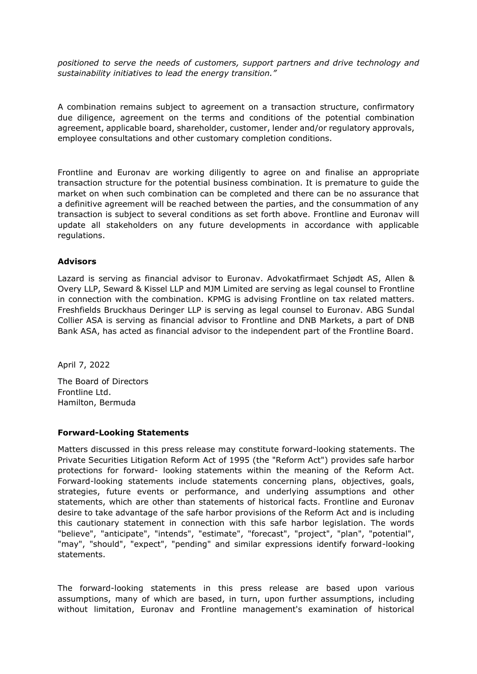*positioned to serve the needs of customers, support partners and drive technology and sustainability initiatives to lead the energy transition."*

A combination remains subject to agreement on a transaction structure, confirmatory due diligence, agreement on the terms and conditions of the potential combination agreement, applicable board, shareholder, customer, lender and/or regulatory approvals, employee consultations and other customary completion conditions.

Frontline and Euronav are working diligently to agree on and finalise an appropriate transaction structure for the potential business combination. It is premature to guide the market on when such combination can be completed and there can be no assurance that a definitive agreement will be reached between the parties, and the consummation of any transaction is subject to several conditions as set forth above. Frontline and Euronav will update all stakeholders on any future developments in accordance with applicable regulations.

#### **Advisors**

Lazard is serving as financial advisor to Euronav. Advokatfirmaet Schjødt AS, Allen & Overy LLP, Seward & Kissel LLP and MJM Limited are serving as legal counsel to Frontline in connection with the combination. KPMG is advising Frontline on tax related matters. Freshfields Bruckhaus Deringer LLP is serving as legal counsel to Euronav. ABG Sundal Collier ASA is serving as financial advisor to Frontline and DNB Markets, a part of DNB Bank ASA, has acted as financial advisor to the independent part of the Frontline Board.

April 7, 2022

The Board of Directors Frontline Ltd. Hamilton, Bermuda

#### **Forward-Looking Statements**

Matters discussed in this press release may constitute forward-looking statements. The Private Securities Litigation Reform Act of 1995 (the "Reform Act") provides safe harbor protections for forward- looking statements within the meaning of the Reform Act. Forward-looking statements include statements concerning plans, objectives, goals, strategies, future events or performance, and underlying assumptions and other statements, which are other than statements of historical facts. Frontline and Euronav desire to take advantage of the safe harbor provisions of the Reform Act and is including this cautionary statement in connection with this safe harbor legislation. The words "believe", "anticipate", "intends", "estimate", "forecast", "project", "plan", "potential", "may", "should", "expect", "pending" and similar expressions identify forward-looking statements.

The forward-looking statements in this press release are based upon various assumptions, many of which are based, in turn, upon further assumptions, including without limitation, Euronav and Frontline management's examination of historical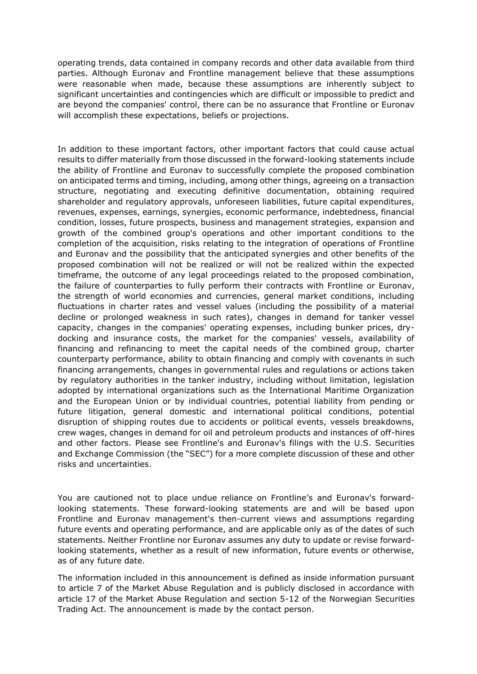operating trends, data contained in company records and other data available from third parties. Although Euronav and Frontline management believe that these assumptions were reasonable when made, because these assumptions are inherently subject to significant uncertainties and contingencies which are difficult or impossible to predict and are beyond the companies' control, there can be no assurance that Frontline or Euronav will accomplish these expectations, beliefs or projections.

In addition to these important factors, other important factors that could cause actual results to differ materially from those discussed in the forward-looking statements include the ability of Frontline and Euronav to successfully complete the proposed combination on anticipated terms and timing, including, among other things, agreeing on a transaction structure, negotiating and executing definitive documentation, obtaining required shareholder and regulatory approvals, unforeseen liabilities, future capital expenditures, revenues, expenses, earnings, synergies, economic performance, indebtedness, financial condition, losses, future prospects, business and management strategies, expansion and growth of the combined group's operations and other important conditions to the completion of the acquisition, risks relating to the integration of operations of Frontline and Euronav and the possibility that the anticipated synergies and other benefits of the proposed combination will not be realized or will not be realized within the expected timeframe, the outcome of any legal proceedings related to the proposed combination, the failure of counterparties to fully perform their contracts with Frontline or Euronav, the strength of world economies and currencies, general market conditions, including fluctuations in charter rates and vessel values (including the possibility of a material decline or prolonged weakness in such rates), changes in demand for tanker vessel capacity, changes in the companies' operating expenses, including bunker prices, drydocking and insurance costs, the market for the companies' vessels, availability of financing and refinancing to meet the capital needs of the combined group, charter counterparty performance, ability to obtain financing and comply with covenants in such financing arrangements, changes in governmental rules and regulations or actions taken by regulatory authorities in the tanker industry, including without limitation, legislation adopted by international organizations such as the International Maritime Organization and the European Union or by individual countries, potential liability from pending or future litigation, general domestic and international political conditions, potential disruption of shipping routes due to accidents or political events, vessels breakdowns, crew wages, changes in demand for oil and petroleum products and instances of off-hires and other factors. Please see Frontline's and Euronav's filings with the U.S. Securities and Exchange Commission (the "SEC") for a more complete discussion of these and other risks and uncertainties.

You are cautioned not to place undue reliance on Frontline's and Euronav's forwardlooking statements. These forward-looking statements are and will be based upon Frontline and Euronav management's then-current views and assumptions regarding future events and operating performance, and are applicable only as of the dates of such statements. Neither Frontline nor Euronav assumes any duty to update or revise forwardlooking statements, whether as a result of new information, future events or otherwise, as of any future date.

The information included in this announcement is defined as inside information pursuant to article 7 of the Market Abuse Regulation and is publicly disclosed in accordance with article 17 of the Market Abuse Regulation and section 5-12 of the Norwegian Securities Trading Act. The announcement is made by the contact person.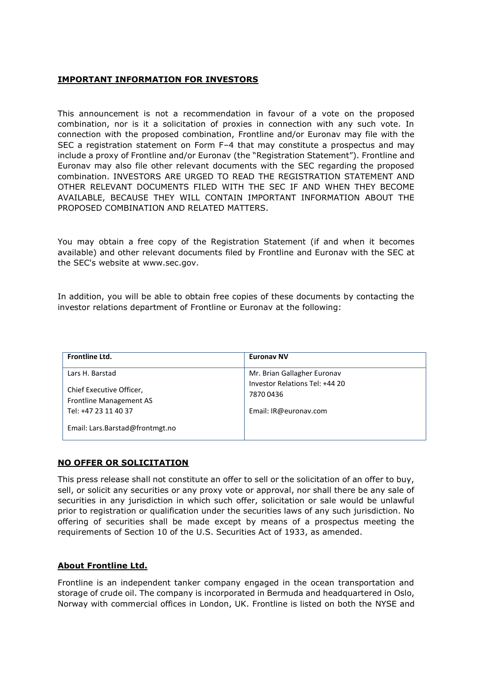# **IMPORTANT INFORMATION FOR INVESTORS**

This announcement is not a recommendation in favour of a vote on the proposed combination, nor is it a solicitation of proxies in connection with any such vote. In connection with the proposed combination, Frontline and/or Euronav may file with the SEC a registration statement on Form F–4 that may constitute a prospectus and may include a proxy of Frontline and/or Euronav (the "Registration Statement"). Frontline and Euronav may also file other relevant documents with the SEC regarding the proposed combination. INVESTORS ARE URGED TO READ THE REGISTRATION STATEMENT AND OTHER RELEVANT DOCUMENTS FILED WITH THE SEC IF AND WHEN THEY BECOME AVAILABLE, BECAUSE THEY WILL CONTAIN IMPORTANT INFORMATION ABOUT THE PROPOSED COMBINATION AND RELATED MATTERS.

You may obtain a free copy of the Registration Statement (if and when it becomes available) and other relevant documents filed by Frontline and Euronav with the SEC at the SEC's website at www.sec.gov.

In addition, you will be able to obtain free copies of these documents by contacting the investor relations department of Frontline or Euronav at the following:

| Frontline Ltd.                                      | <b>Euronav NV</b>                           |
|-----------------------------------------------------|---------------------------------------------|
| Lars H. Barstad                                     | Mr. Brian Gallagher Euronav                 |
| Chief Executive Officer,<br>Frontline Management AS | Investor Relations Tel: +44 20<br>7870 0436 |
| Tel: +47 23 11 40 37                                | Email: IR@euronav.com                       |
| Email: Lars.Barstad@frontmgt.no                     |                                             |

# **NO OFFER OR SOLICITATION**

This press release shall not constitute an offer to sell or the solicitation of an offer to buy, sell, or solicit any securities or any proxy vote or approval, nor shall there be any sale of securities in any jurisdiction in which such offer, solicitation or sale would be unlawful prior to registration or qualification under the securities laws of any such jurisdiction. No offering of securities shall be made except by means of a prospectus meeting the requirements of Section 10 of the U.S. Securities Act of 1933, as amended.

#### **About Frontline Ltd.**

Frontline is an independent tanker company engaged in the ocean transportation and storage of crude oil. The company is incorporated in Bermuda and headquartered in Oslo, Norway with commercial offices in London, UK. Frontline is listed on both the NYSE and